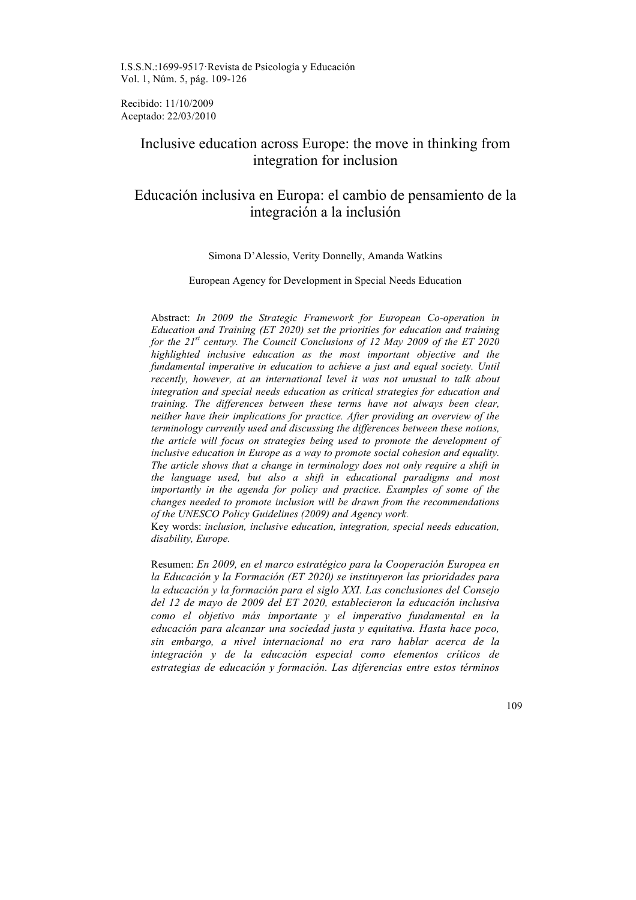I.S.S.N.:1699-9517·Revista de Psicología y Educación Vol. 1, Núm. 5, pág. 109-126

Recibido: 11/10/2009 Aceptado: 22/03/2010

# Inclusive education across Europe: the move in thinking from integration for inclusion

# Educación inclusiva en Europa: el cambio de pensamiento de la integración a la inclusión

# Simona D'Alessio, Verity Donnelly, Amanda Watkins

#### European Agency for Development in Special Needs Education

Abstract: *In 2009 the Strategic Framework for European Co-operation in Education and Training (ET 2020) set the priorities for education and training for the 21st century. The Council Conclusions of 12 May 2009 of the ET 2020 highlighted inclusive education as the most important objective and the fundamental imperative in education to achieve a just and equal society. Until recently, however, at an international level it was not unusual to talk about integration and special needs education as critical strategies for education and training. The differences between these terms have not always been clear, neither have their implications for practice. After providing an overview of the terminology currently used and discussing the differences between these notions, the article will focus on strategies being used to promote the development of inclusive education in Europe as a way to promote social cohesion and equality. The article shows that a change in terminology does not only require a shift in the language used, but also a shift in educational paradigms and most importantly in the agenda for policy and practice. Examples of some of the changes needed to promote inclusion will be drawn from the recommendations of the UNESCO Policy Guidelines (2009) and Agency work.*

Key words: *inclusion, inclusive education, integration, special needs education, disability, Europe.*

Resumen: *En 2009, en el marco estratégico para la Cooperación Europea en la Educación y la Formación (ET 2020) se instituyeron las prioridades para la educación y la formación para el siglo XXI. Las conclusiones del Consejo del 12 de mayo de 2009 del ET 2020, establecieron la educación inclusiva como el objetivo más importante y el imperativo fundamental en la educación para alcanzar una sociedad justa y equitativa. Hasta hace poco, sin embargo, a nivel internacional no era raro hablar acerca de la integración y de la educación especial como elementos críticos de estrategias de educación y formación. Las diferencias entre estos términos*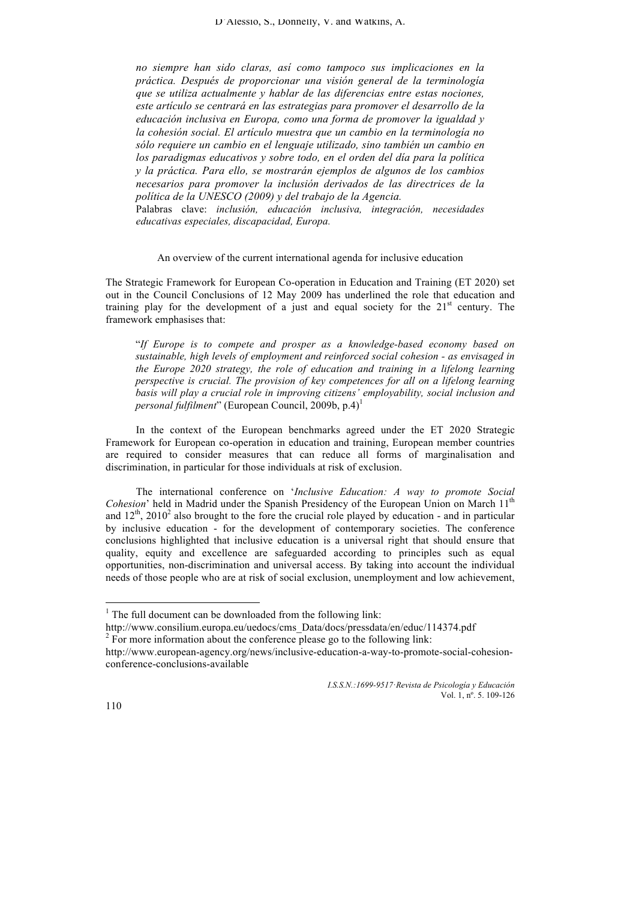*no siempre han sido claras, así como tampoco sus implicaciones en la práctica. Después de proporcionar una visión general de la terminología que se utiliza actualmente y hablar de las diferencias entre estas nociones, este artículo se centrará en las estrategias para promover el desarrollo de la educación inclusiva en Europa, como una forma de promover la igualdad y la cohesión social. El artículo muestra que un cambio en la terminología no sólo requiere un cambio en el lenguaje utilizado, sino también un cambio en los paradigmas educativos y sobre todo, en el orden del día para la política y la práctica. Para ello, se mostrarán ejemplos de algunos de los cambios necesarios para promover la inclusión derivados de las directrices de la política de la UNESCO (2009) y del trabajo de la Agencia.* 

Palabras clave: *inclusión, educación inclusiva, integración, necesidades educativas especiales, discapacidad, Europa.*

## An overview of the current international agenda for inclusive education

The Strategic Framework for European Co-operation in Education and Training (ET 2020) set out in the Council Conclusions of 12 May 2009 has underlined the role that education and training play for the development of a just and equal society for the  $21<sup>st</sup>$  century. The framework emphasises that:

"*If Europe is to compete and prosper as a knowledge-based economy based on sustainable, high levels of employment and reinforced social cohesion - as envisaged in the Europe 2020 strategy, the role of education and training in a lifelong learning perspective is crucial. The provision of key competences for all on a lifelong learning basis will play a crucial role in improving citizens' employability, social inclusion and personal fulfilment*" (European Council, 2009b, p.4)<sup>1</sup>

In the context of the European benchmarks agreed under the ET 2020 Strategic Framework for European co-operation in education and training, European member countries are required to consider measures that can reduce all forms of marginalisation and discrimination, in particular for those individuals at risk of exclusion.

The international conference on '*Inclusive Education: A way to promote Social Cohesion*' held in Madrid under the Spanish Presidency of the European Union on March 11<sup>th</sup> and  $12<sup>th</sup>$ ,  $2010<sup>2</sup>$  also brought to the fore the crucial role played by education - and in particular by inclusive education - for the development of contemporary societies. The conference conclusions highlighted that inclusive education is a universal right that should ensure that quality, equity and excellence are safeguarded according to principles such as equal opportunities, non-discrimination and universal access. By taking into account the individual needs of those people who are at risk of social exclusion, unemployment and low achievement,

http://www.consilium.europa.eu/uedocs/cms\_Data/docs/pressdata/en/educ/114374.pdf  $2 \overline{P}$  For more information about the conference please go to the following link:

 $1$ <sup>1</sup> The full document can be downloaded from the following link:

http://www.european-agency.org/news/inclusive-education-a-way-to-promote-social-cohesionconference-conclusions-available

*I.S.S.N.:1699-9517*·*Revista de Psicología y Educación* Vol. 1, nº. 5. 109-126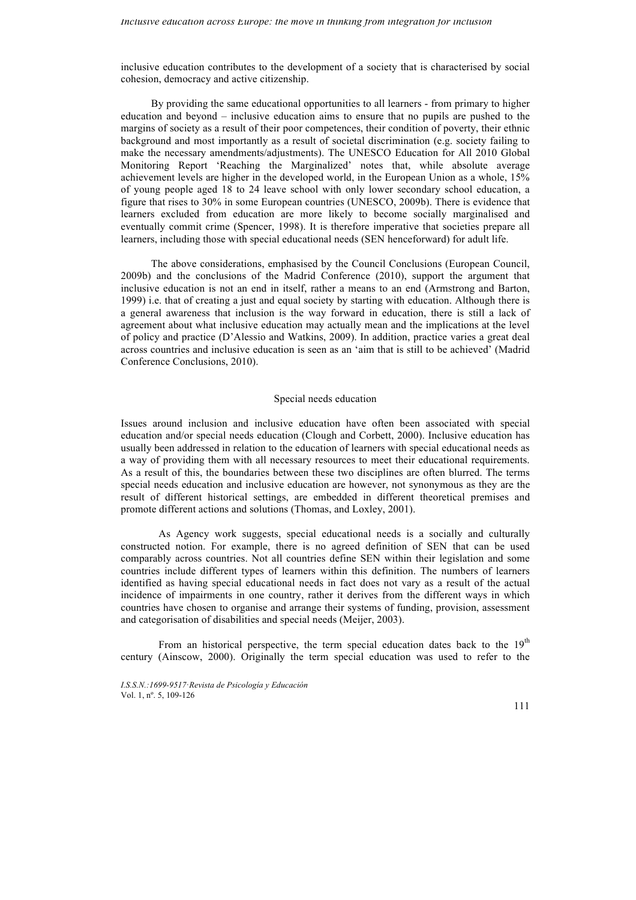inclusive education contributes to the development of a society that is characterised by social cohesion, democracy and active citizenship.

By providing the same educational opportunities to all learners - from primary to higher education and beyond – inclusive education aims to ensure that no pupils are pushed to the margins of society as a result of their poor competences, their condition of poverty, their ethnic background and most importantly as a result of societal discrimination (e.g. society failing to make the necessary amendments/adjustments). The UNESCO Education for All 2010 Global Monitoring Report 'Reaching the Marginalized' notes that, while absolute average achievement levels are higher in the developed world, in the European Union as a whole, 15% of young people aged 18 to 24 leave school with only lower secondary school education, a figure that rises to 30% in some European countries (UNESCO, 2009b). There is evidence that learners excluded from education are more likely to become socially marginalised and eventually commit crime (Spencer, 1998). It is therefore imperative that societies prepare all learners, including those with special educational needs (SEN henceforward) for adult life.

The above considerations, emphasised by the Council Conclusions (European Council, 2009b) and the conclusions of the Madrid Conference (2010), support the argument that inclusive education is not an end in itself, rather a means to an end (Armstrong and Barton, 1999) i.e. that of creating a just and equal society by starting with education. Although there is a general awareness that inclusion is the way forward in education, there is still a lack of agreement about what inclusive education may actually mean and the implications at the level of policy and practice (D'Alessio and Watkins, 2009). In addition, practice varies a great deal across countries and inclusive education is seen as an 'aim that is still to be achieved' (Madrid Conference Conclusions, 2010).

#### Special needs education

Issues around inclusion and inclusive education have often been associated with special education and/or special needs education (Clough and Corbett, 2000). Inclusive education has usually been addressed in relation to the education of learners with special educational needs as a way of providing them with all necessary resources to meet their educational requirements. As a result of this, the boundaries between these two disciplines are often blurred. The terms special needs education and inclusive education are however, not synonymous as they are the result of different historical settings, are embedded in different theoretical premises and promote different actions and solutions (Thomas, and Loxley, 2001).

As Agency work suggests, special educational needs is a socially and culturally constructed notion. For example, there is no agreed definition of SEN that can be used comparably across countries. Not all countries define SEN within their legislation and some countries include different types of learners within this definition. The numbers of learners identified as having special educational needs in fact does not vary as a result of the actual incidence of impairments in one country, rather it derives from the different ways in which countries have chosen to organise and arrange their systems of funding, provision, assessment and categorisation of disabilities and special needs (Meijer, 2003).

From an historical perspective, the term special education dates back to the  $19<sup>th</sup>$ century (Ainscow, 2000). Originally the term special education was used to refer to the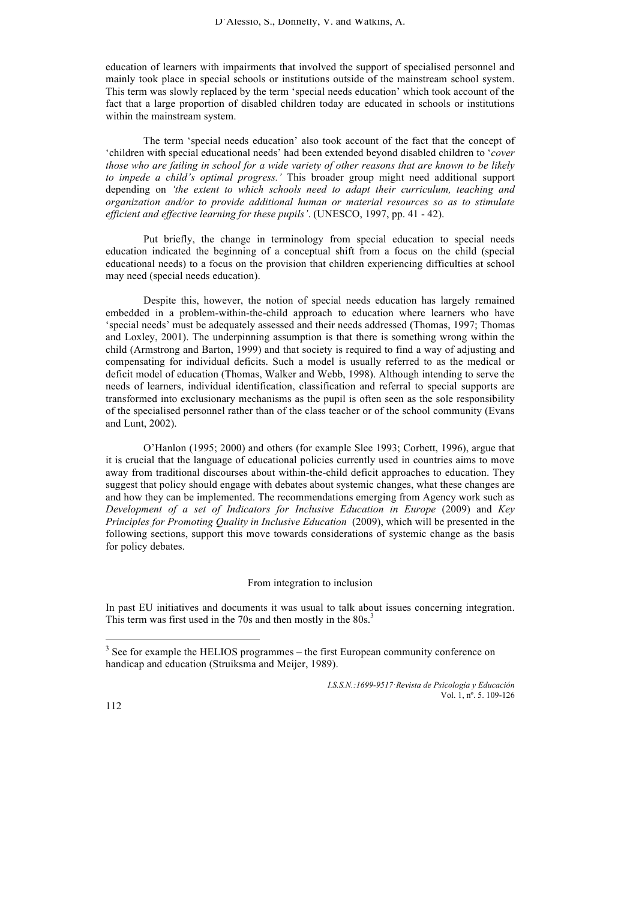education of learners with impairments that involved the support of specialised personnel and mainly took place in special schools or institutions outside of the mainstream school system. This term was slowly replaced by the term 'special needs education' which took account of the fact that a large proportion of disabled children today are educated in schools or institutions within the mainstream system.

The term 'special needs education' also took account of the fact that the concept of 'children with special educational needs' had been extended beyond disabled children to '*cover those who are failing in school for a wide variety of other reasons that are known to be likely to impede a child's optimal progress.'* This broader group might need additional support depending on *'the extent to which schools need to adapt their curriculum, teaching and organization and/or to provide additional human or material resources so as to stimulate efficient and effective learning for these pupils'*. (UNESCO, 1997, pp. 41 - 42).

Put briefly, the change in terminology from special education to special needs education indicated the beginning of a conceptual shift from a focus on the child (special educational needs) to a focus on the provision that children experiencing difficulties at school may need (special needs education).

Despite this, however, the notion of special needs education has largely remained embedded in a problem-within-the-child approach to education where learners who have 'special needs' must be adequately assessed and their needs addressed (Thomas, 1997; Thomas and Loxley, 2001). The underpinning assumption is that there is something wrong within the child (Armstrong and Barton, 1999) and that society is required to find a way of adjusting and compensating for individual deficits. Such a model is usually referred to as the medical or deficit model of education (Thomas, Walker and Webb, 1998). Although intending to serve the needs of learners, individual identification, classification and referral to special supports are transformed into exclusionary mechanisms as the pupil is often seen as the sole responsibility of the specialised personnel rather than of the class teacher or of the school community (Evans and Lunt, 2002).

O'Hanlon (1995; 2000) and others (for example Slee 1993; Corbett, 1996), argue that it is crucial that the language of educational policies currently used in countries aims to move away from traditional discourses about within-the-child deficit approaches to education. They suggest that policy should engage with debates about systemic changes, what these changes are and how they can be implemented. The recommendations emerging from Agency work such as *Development of a set of Indicators for Inclusive Education in Europe* (2009) and *Key Principles for Promoting Quality in Inclusive Education* (2009), which will be presented in the following sections, support this move towards considerations of systemic change as the basis for policy debates.

## From integration to inclusion

In past EU initiatives and documents it was usual to talk about issues concerning integration. This term was first used in the 70s and then mostly in the  $80s^3$ .

<sup>&</sup>lt;sup>3</sup> See for example the HELIOS programmes – the first European community conference on handicap and education (Struiksma and Meijer, 1989).

*I.S.S.N.:1699-9517*·*Revista de Psicología y Educación* Vol. 1, nº. 5. 109-126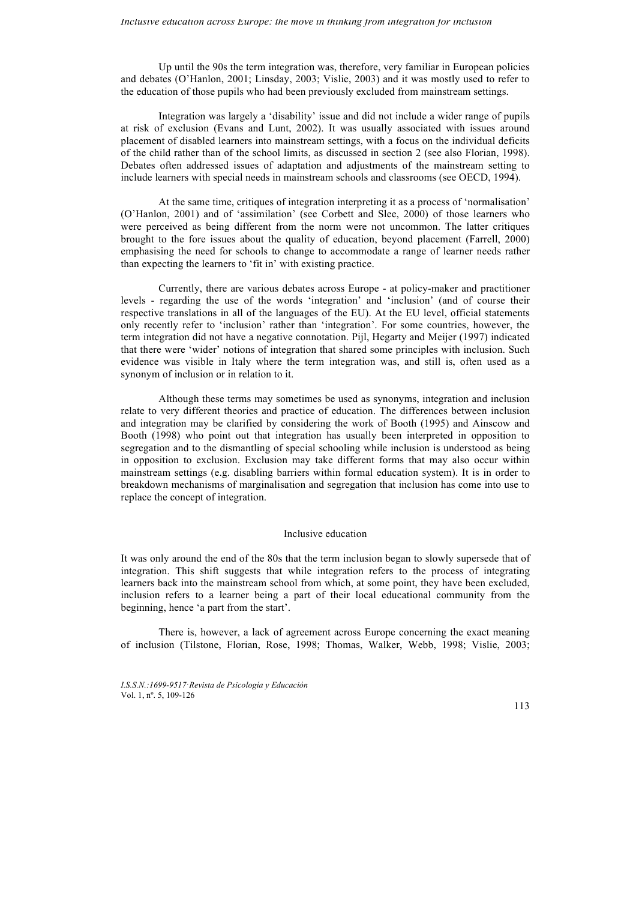Up until the 90s the term integration was, therefore, very familiar in European policies and debates (O'Hanlon, 2001; Linsday, 2003; Vislie, 2003) and it was mostly used to refer to the education of those pupils who had been previously excluded from mainstream settings.

Integration was largely a 'disability' issue and did not include a wider range of pupils at risk of exclusion (Evans and Lunt, 2002). It was usually associated with issues around placement of disabled learners into mainstream settings, with a focus on the individual deficits of the child rather than of the school limits, as discussed in section 2 (see also Florian, 1998). Debates often addressed issues of adaptation and adjustments of the mainstream setting to include learners with special needs in mainstream schools and classrooms (see OECD, 1994).

At the same time, critiques of integration interpreting it as a process of 'normalisation' (O'Hanlon, 2001) and of 'assimilation' (see Corbett and Slee, 2000) of those learners who were perceived as being different from the norm were not uncommon. The latter critiques brought to the fore issues about the quality of education, beyond placement (Farrell, 2000) emphasising the need for schools to change to accommodate a range of learner needs rather than expecting the learners to 'fit in' with existing practice.

Currently, there are various debates across Europe - at policy-maker and practitioner levels - regarding the use of the words 'integration' and 'inclusion' (and of course their respective translations in all of the languages of the EU). At the EU level, official statements only recently refer to 'inclusion' rather than 'integration'. For some countries, however, the term integration did not have a negative connotation. Pijl, Hegarty and Meijer (1997) indicated that there were 'wider' notions of integration that shared some principles with inclusion. Such evidence was visible in Italy where the term integration was, and still is, often used as a synonym of inclusion or in relation to it.

Although these terms may sometimes be used as synonyms, integration and inclusion relate to very different theories and practice of education. The differences between inclusion and integration may be clarified by considering the work of Booth (1995) and Ainscow and Booth (1998) who point out that integration has usually been interpreted in opposition to segregation and to the dismantling of special schooling while inclusion is understood as being in opposition to exclusion. Exclusion may take different forms that may also occur within mainstream settings (e.g. disabling barriers within formal education system). It is in order to breakdown mechanisms of marginalisation and segregation that inclusion has come into use to replace the concept of integration.

# Inclusive education

It was only around the end of the 80s that the term inclusion began to slowly supersede that of integration. This shift suggests that while integration refers to the process of integrating learners back into the mainstream school from which, at some point, they have been excluded, inclusion refers to a learner being a part of their local educational community from the beginning, hence 'a part from the start'.

There is, however, a lack of agreement across Europe concerning the exact meaning of inclusion (Tilstone, Florian, Rose, 1998; Thomas, Walker, Webb, 1998; Vislie, 2003;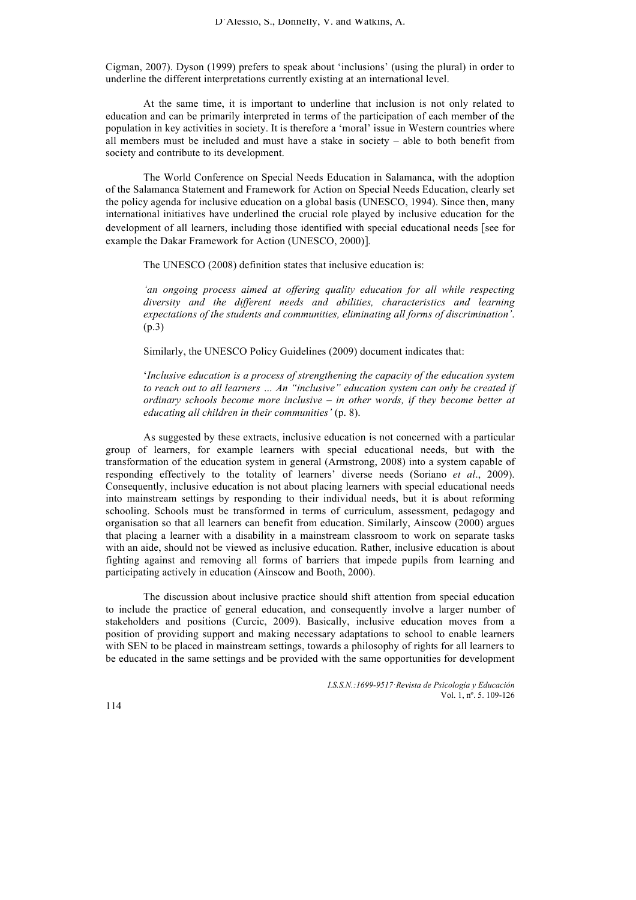Cigman, 2007). Dyson (1999) prefers to speak about 'inclusions' (using the plural) in order to underline the different interpretations currently existing at an international level.

At the same time, it is important to underline that inclusion is not only related to education and can be primarily interpreted in terms of the participation of each member of the population in key activities in society. It is therefore a 'moral' issue in Western countries where all members must be included and must have a stake in society – able to both benefit from society and contribute to its development.

The World Conference on Special Needs Education in Salamanca, with the adoption of the Salamanca Statement and Framework for Action on Special Needs Education, clearly set the policy agenda for inclusive education on a global basis (UNESCO, 1994). Since then, many international initiatives have underlined the crucial role played by inclusive education for the development of all learners, including those identified with special educational needs [see for example the Dakar Framework for Action (UNESCO, 2000)].

The UNESCO (2008) definition states that inclusive education is:

*'an ongoing process aimed at offering quality education for all while respecting diversity and the different needs and abilities, characteristics and learning expectations of the students and communities, eliminating all forms of discrimination'*. (p.3)

Similarly, the UNESCO Policy Guidelines (2009) document indicates that:

'*Inclusive education is a process of strengthening the capacity of the education system to reach out to all learners … An "inclusive" education system can only be created if ordinary schools become more inclusive – in other words, if they become better at educating all children in their communities'* (p. 8).

As suggested by these extracts, inclusive education is not concerned with a particular group of learners, for example learners with special educational needs, but with the transformation of the education system in general (Armstrong, 2008) into a system capable of responding effectively to the totality of learners' diverse needs (Soriano *et al*., 2009). Consequently, inclusive education is not about placing learners with special educational needs into mainstream settings by responding to their individual needs, but it is about reforming schooling. Schools must be transformed in terms of curriculum, assessment, pedagogy and organisation so that all learners can benefit from education. Similarly, Ainscow (2000) argues that placing a learner with a disability in a mainstream classroom to work on separate tasks with an aide, should not be viewed as inclusive education. Rather, inclusive education is about fighting against and removing all forms of barriers that impede pupils from learning and participating actively in education (Ainscow and Booth, 2000).

The discussion about inclusive practice should shift attention from special education to include the practice of general education, and consequently involve a larger number of stakeholders and positions (Curcic, 2009). Basically, inclusive education moves from a position of providing support and making necessary adaptations to school to enable learners with SEN to be placed in mainstream settings, towards a philosophy of rights for all learners to be educated in the same settings and be provided with the same opportunities for development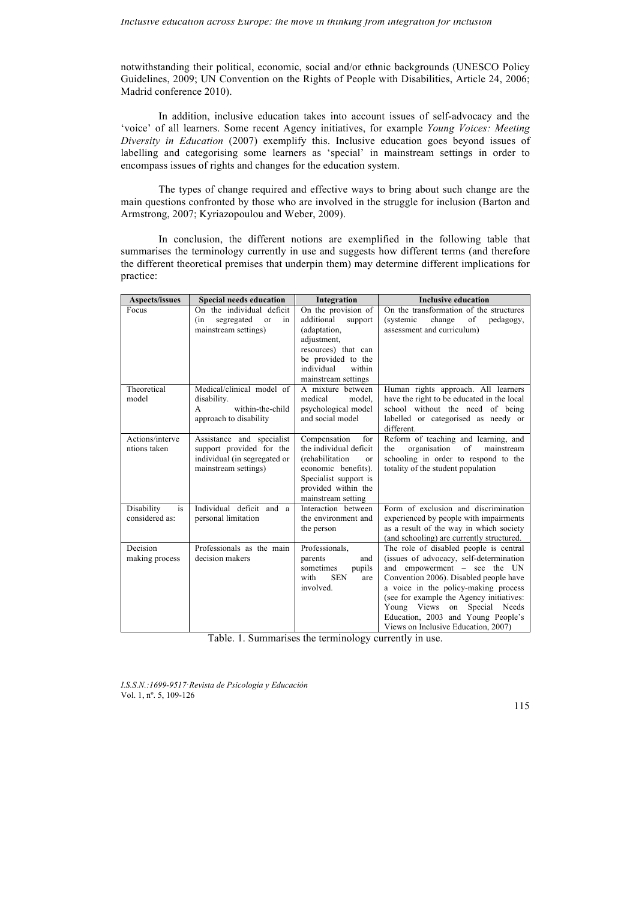notwithstanding their political, economic, social and/or ethnic backgrounds (UNESCO Policy Guidelines, 2009; UN Convention on the Rights of People with Disabilities, Article 24, 2006; Madrid conference 2010).

In addition, inclusive education takes into account issues of self-advocacy and the 'voice' of all learners. Some recent Agency initiatives, for example *Young Voices: Meeting Diversity in Education* (2007) exemplify this. Inclusive education goes beyond issues of labelling and categorising some learners as 'special' in mainstream settings in order to encompass issues of rights and changes for the education system.

The types of change required and effective ways to bring about such change are the main questions confronted by those who are involved in the struggle for inclusion (Barton and Armstrong, 2007; Kyriazopoulou and Weber, 2009).

In conclusion, the different notions are exemplified in the following table that summarises the terminology currently in use and suggests how different terms (and therefore the different theoretical premises that underpin them) may determine different implications for practice:

| Aspects/issues                     | <b>Special needs education</b>                                                                                | Integration                                                                                                                                                                 | <b>Inclusive education</b>                                                                                                                                                                                                                                                                                                                                         |
|------------------------------------|---------------------------------------------------------------------------------------------------------------|-----------------------------------------------------------------------------------------------------------------------------------------------------------------------------|--------------------------------------------------------------------------------------------------------------------------------------------------------------------------------------------------------------------------------------------------------------------------------------------------------------------------------------------------------------------|
| Focus                              | On the individual deficit<br>(in<br>segregated<br><sub>or</sub><br>in<br>mainstream settings)                 | On the provision of<br>additional<br>support<br>(adaptation,<br>adjustment.<br>resources) that can<br>be provided to the<br>individual<br>within<br>mainstream settings     | On the transformation of the structures<br>change<br>of<br>(systemic<br>pedagogy,<br>assessment and curriculum)                                                                                                                                                                                                                                                    |
| Theoretical<br>model               | Medical/clinical model of<br>disability.<br>within-the-child<br>A<br>approach to disability                   | A mixture between<br>model.<br>medical<br>psychological model<br>and social model                                                                                           | Human rights approach. All learners<br>have the right to be educated in the local<br>school without the need of being<br>labelled or categorised as needy or<br>different.                                                                                                                                                                                         |
| Actions/interve<br>ntions taken    | Assistance and specialist<br>support provided for the<br>individual (in segregated or<br>mainstream settings) | Compensation<br>for<br>the individual deficit<br>(rehabilitation<br>$\alpha$ r<br>economic benefits).<br>Specialist support is<br>provided within the<br>mainstream setting | Reform of teaching and learning, and<br>the<br>organisation<br>of<br>mainstream<br>schooling in order to respond to the<br>totality of the student population                                                                                                                                                                                                      |
| is<br>Disability<br>considered as: | Individual deficit and a<br>personal limitation                                                               | Interaction between<br>the environment and<br>the person                                                                                                                    | Form of exclusion and discrimination<br>experienced by people with impairments<br>as a result of the way in which society<br>(and schooling) are currently structured.                                                                                                                                                                                             |
| Decision<br>making process         | Professionals as the main<br>decision makers                                                                  | Professionals,<br>parents<br>and<br>sometimes<br>pupils<br>with<br><b>SEN</b><br>are<br>involved.                                                                           | The role of disabled people is central<br>(issues of advocacy, self-determination<br>and empowerment - see the UN<br>Convention 2006). Disabled people have<br>a voice in the policy-making process<br>(see for example the Agency initiatives:<br>Young Views on<br>Special<br>Needs<br>Education, 2003 and Young People's<br>Views on Inclusive Education, 2007) |

Table. 1. Summarises the terminology currently in use.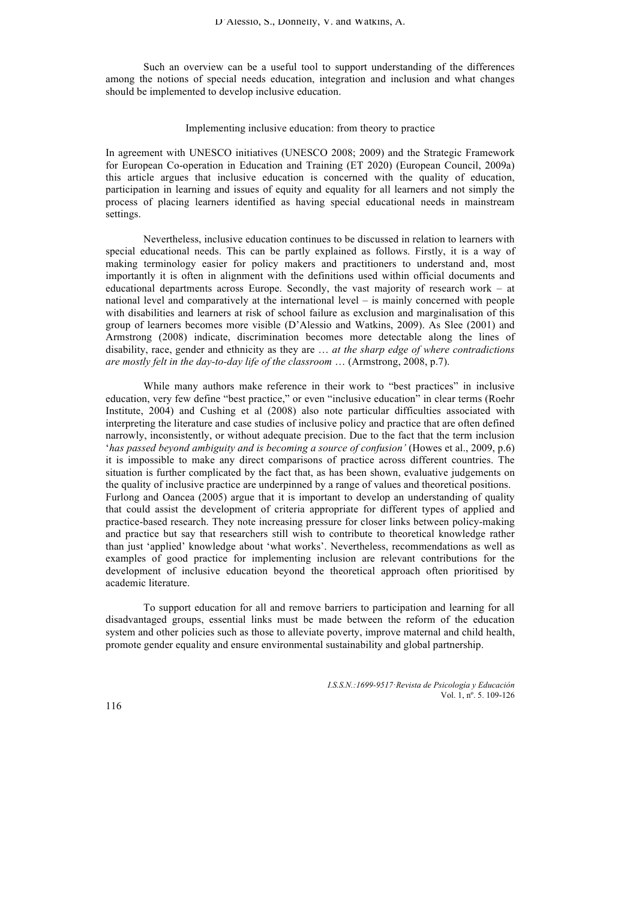Such an overview can be a useful tool to support understanding of the differences among the notions of special needs education, integration and inclusion and what changes should be implemented to develop inclusive education.

## Implementing inclusive education: from theory to practice

In agreement with UNESCO initiatives (UNESCO 2008; 2009) and the Strategic Framework for European Co-operation in Education and Training (ET 2020) (European Council, 2009a) this article argues that inclusive education is concerned with the quality of education, participation in learning and issues of equity and equality for all learners and not simply the process of placing learners identified as having special educational needs in mainstream settings.

Nevertheless, inclusive education continues to be discussed in relation to learners with special educational needs. This can be partly explained as follows. Firstly, it is a way of making terminology easier for policy makers and practitioners to understand and, most importantly it is often in alignment with the definitions used within official documents and educational departments across Europe. Secondly, the vast majority of research work – at national level and comparatively at the international level – is mainly concerned with people with disabilities and learners at risk of school failure as exclusion and marginalisation of this group of learners becomes more visible (D'Alessio and Watkins, 2009). As Slee (2001) and Armstrong (2008) indicate, discrimination becomes more detectable along the lines of disability, race, gender and ethnicity as they are … *at the sharp edge of where contradictions are mostly felt in the day-to-day life of the classroom* … (Armstrong, 2008, p.7).

While many authors make reference in their work to "best practices" in inclusive education, very few define "best practice," or even "inclusive education" in clear terms (Roehr Institute, 2004) and Cushing et al (2008) also note particular difficulties associated with interpreting the literature and case studies of inclusive policy and practice that are often defined narrowly, inconsistently, or without adequate precision. Due to the fact that the term inclusion '*has passed beyond ambiguity and is becoming a source of confusion'* (Howes et al., 2009, p.6) it is impossible to make any direct comparisons of practice across different countries. The situation is further complicated by the fact that, as has been shown, evaluative judgements on the quality of inclusive practice are underpinned by a range of values and theoretical positions. Furlong and Oancea (2005) argue that it is important to develop an understanding of quality that could assist the development of criteria appropriate for different types of applied and practice-based research. They note increasing pressure for closer links between policy-making and practice but say that researchers still wish to contribute to theoretical knowledge rather than just 'applied' knowledge about 'what works'. Nevertheless, recommendations as well as examples of good practice for implementing inclusion are relevant contributions for the development of inclusive education beyond the theoretical approach often prioritised by academic literature.

To support education for all and remove barriers to participation and learning for all disadvantaged groups, essential links must be made between the reform of the education system and other policies such as those to alleviate poverty, improve maternal and child health, promote gender equality and ensure environmental sustainability and global partnership.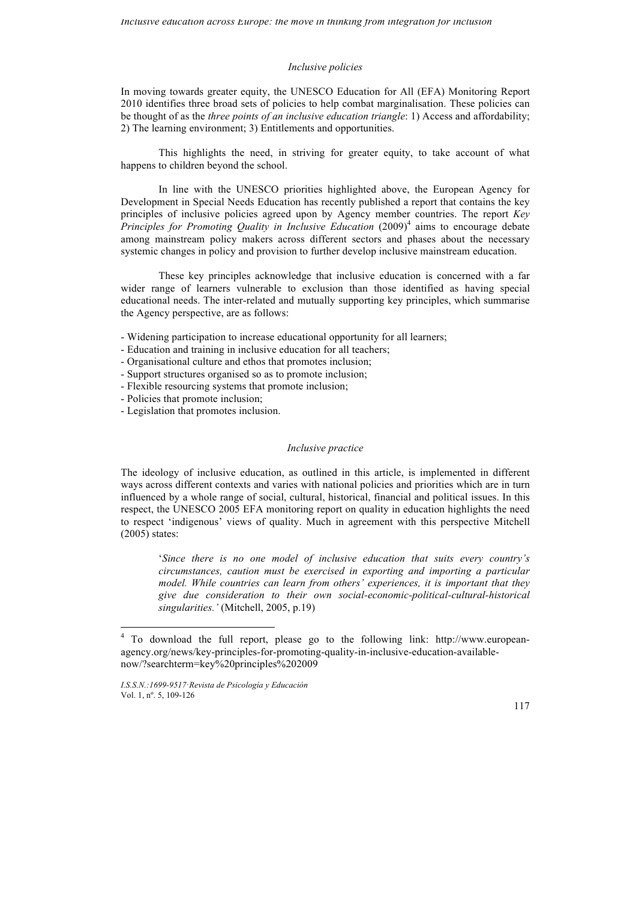# *Inclusive policies*

In moving towards greater equity, the UNESCO Education for All (EFA) Monitoring Report 2010 identifies three broad sets of policies to help combat marginalisation. These policies can be thought of as the *three points of an inclusive education triangle*: 1) Access and affordability; 2) The learning environment; 3) Entitlements and opportunities.

This highlights the need, in striving for greater equity, to take account of what happens to children beyond the school.

In line with the UNESCO priorities highlighted above, the European Agency for Development in Special Needs Education has recently published a report that contains the key principles of inclusive policies agreed upon by Agency member countries. The report *Key Principles for Promoting Quality in Inclusive Education* (2009)<sup>4</sup> aims to encourage debate among mainstream policy makers across different sectors and phases about the necessary systemic changes in policy and provision to further develop inclusive mainstream education.

These key principles acknowledge that inclusive education is concerned with a far wider range of learners vulnerable to exclusion than those identified as having special educational needs. The inter-related and mutually supporting key principles, which summarise the Agency perspective, are as follows:

- Widening participation to increase educational opportunity for all learners;
- Education and training in inclusive education for all teachers;
- Organisational culture and ethos that promotes inclusion;
- Support structures organised so as to promote inclusion;
- Flexible resourcing systems that promote inclusion;
- Policies that promote inclusion;
- Legislation that promotes inclusion.

## *Inclusive practice*

The ideology of inclusive education, as outlined in this article, is implemented in different ways across different contexts and varies with national policies and priorities which are in turn influenced by a whole range of social, cultural, historical, financial and political issues. In this respect, the UNESCO 2005 EFA monitoring report on quality in education highlights the need to respect 'indigenous' views of quality. Much in agreement with this perspective Mitchell (2005) states:

'*Since there is no one model of inclusive education that suits every country's circumstances, caution must be exercised in exporting and importing a particular model. While countries can learn from others' experiences, it is important that they give due consideration to their own social-economic-political-cultural-historical singularities.'* (Mitchell, 2005, p.19)

 <sup>4</sup> To download the full report, please go to the following link: http://www.europeanagency.org/news/key-principles-for-promoting-quality-in-inclusive-education-availablenow/?searchterm=key%20principles%202009

*I.S.S.N.:1699-9517*·*Revista de Psicología y Educación* Vol. 1, nº. 5, 109-126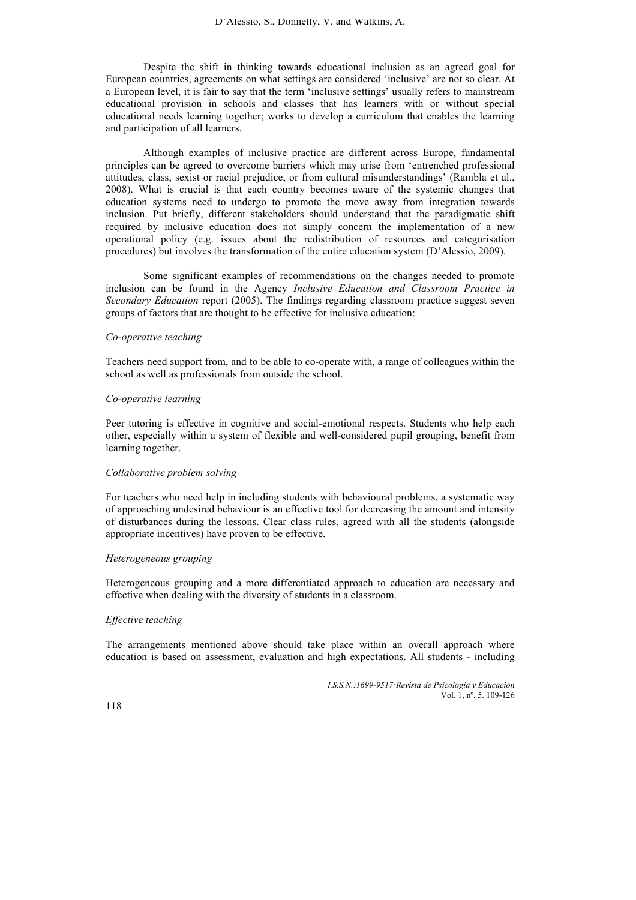Despite the shift in thinking towards educational inclusion as an agreed goal for European countries, agreements on what settings are considered 'inclusive' are not so clear. At a European level, it is fair to say that the term 'inclusive settings' usually refers to mainstream educational provision in schools and classes that has learners with or without special educational needs learning together; works to develop a curriculum that enables the learning and participation of all learners.

Although examples of inclusive practice are different across Europe, fundamental principles can be agreed to overcome barriers which may arise from 'entrenched professional attitudes, class, sexist or racial prejudice, or from cultural misunderstandings' (Rambla et al., 2008). What is crucial is that each country becomes aware of the systemic changes that education systems need to undergo to promote the move away from integration towards inclusion. Put briefly, different stakeholders should understand that the paradigmatic shift required by inclusive education does not simply concern the implementation of a new operational policy (e.g. issues about the redistribution of resources and categorisation procedures) but involves the transformation of the entire education system (D'Alessio, 2009).

Some significant examples of recommendations on the changes needed to promote inclusion can be found in the Agency *Inclusive Education and Classroom Practice in Secondary Education* report (2005). The findings regarding classroom practice suggest seven groups of factors that are thought to be effective for inclusive education:

# *Co-operative teaching*

Teachers need support from, and to be able to co-operate with, a range of colleagues within the school as well as professionals from outside the school.

#### *Co-operative learning*

Peer tutoring is effective in cognitive and social-emotional respects. Students who help each other, especially within a system of flexible and well-considered pupil grouping, benefit from learning together.

# *Collaborative problem solving*

For teachers who need help in including students with behavioural problems, a systematic way of approaching undesired behaviour is an effective tool for decreasing the amount and intensity of disturbances during the lessons. Clear class rules, agreed with all the students (alongside appropriate incentives) have proven to be effective.

#### *Heterogeneous grouping*

Heterogeneous grouping and a more differentiated approach to education are necessary and effective when dealing with the diversity of students in a classroom.

# *Effective teaching*

The arrangements mentioned above should take place within an overall approach where education is based on assessment, evaluation and high expectations. All students - including

> *I.S.S.N.:1699-9517*·*Revista de Psicología y Educación* Vol. 1, nº. 5. 109-126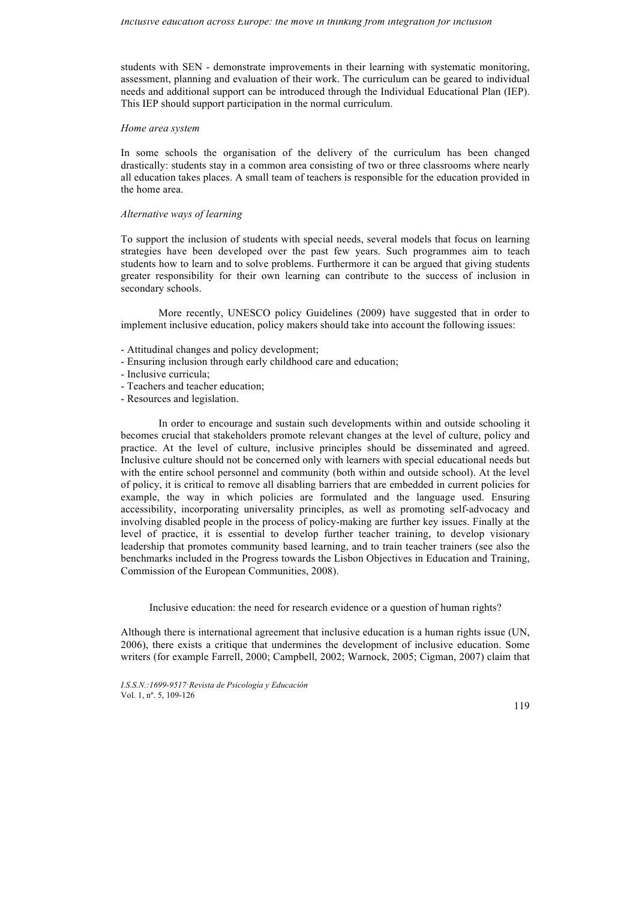students with SEN - demonstrate improvements in their learning with systematic monitoring, assessment, planning and evaluation of their work. The curriculum can be geared to individual needs and additional support can be introduced through the Individual Educational Plan (IEP). This IEP should support participation in the normal curriculum.

## *Home area system*

In some schools the organisation of the delivery of the curriculum has been changed drastically: students stay in a common area consisting of two or three classrooms where nearly all education takes places. A small team of teachers is responsible for the education provided in the home area.

# *Alternative ways of learning*

To support the inclusion of students with special needs, several models that focus on learning strategies have been developed over the past few years. Such programmes aim to teach students how to learn and to solve problems. Furthermore it can be argued that giving students greater responsibility for their own learning can contribute to the success of inclusion in secondary schools.

More recently, UNESCO policy Guidelines (2009) have suggested that in order to implement inclusive education, policy makers should take into account the following issues:

- Attitudinal changes and policy development;
- Ensuring inclusion through early childhood care and education;
- Inclusive curricula;
- Teachers and teacher education;
- Resources and legislation.

In order to encourage and sustain such developments within and outside schooling it becomes crucial that stakeholders promote relevant changes at the level of culture, policy and practice. At the level of culture, inclusive principles should be disseminated and agreed. Inclusive culture should not be concerned only with learners with special educational needs but with the entire school personnel and community (both within and outside school). At the level of policy, it is critical to remove all disabling barriers that are embedded in current policies for example, the way in which policies are formulated and the language used. Ensuring accessibility, incorporating universality principles, as well as promoting self-advocacy and involving disabled people in the process of policy-making are further key issues. Finally at the level of practice, it is essential to develop further teacher training, to develop visionary leadership that promotes community based learning, and to train teacher trainers (see also the benchmarks included in the Progress towards the Lisbon Objectives in Education and Training, Commission of the European Communities, 2008).

Inclusive education: the need for research evidence or a question of human rights?

Although there is international agreement that inclusive education is a human rights issue (UN, 2006), there exists a critique that undermines the development of inclusive education. Some writers (for example Farrell, 2000; Campbell, 2002; Warnock, 2005; Cigman, 2007) claim that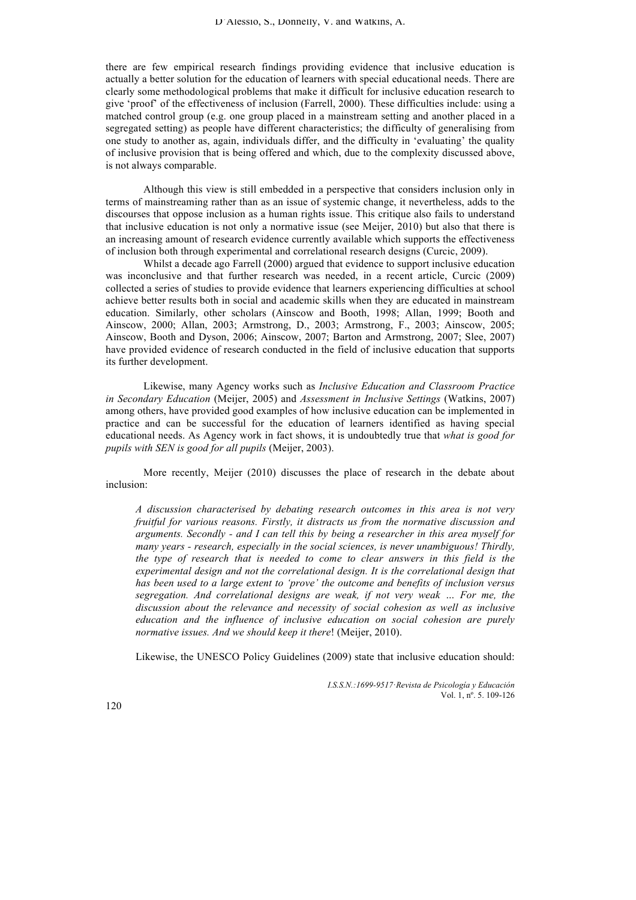there are few empirical research findings providing evidence that inclusive education is actually a better solution for the education of learners with special educational needs. There are clearly some methodological problems that make it difficult for inclusive education research to give 'proof' of the effectiveness of inclusion (Farrell, 2000). These difficulties include: using a matched control group (e.g. one group placed in a mainstream setting and another placed in a segregated setting) as people have different characteristics; the difficulty of generalising from one study to another as, again, individuals differ, and the difficulty in 'evaluating' the quality of inclusive provision that is being offered and which, due to the complexity discussed above, is not always comparable.

Although this view is still embedded in a perspective that considers inclusion only in terms of mainstreaming rather than as an issue of systemic change, it nevertheless, adds to the discourses that oppose inclusion as a human rights issue. This critique also fails to understand that inclusive education is not only a normative issue (see Meijer, 2010) but also that there is an increasing amount of research evidence currently available which supports the effectiveness of inclusion both through experimental and correlational research designs (Curcic, 2009).

Whilst a decade ago Farrell (2000) argued that evidence to support inclusive education was inconclusive and that further research was needed, in a recent article, Curcic (2009) collected a series of studies to provide evidence that learners experiencing difficulties at school achieve better results both in social and academic skills when they are educated in mainstream education. Similarly, other scholars (Ainscow and Booth, 1998; Allan, 1999; Booth and Ainscow, 2000; Allan, 2003; Armstrong, D., 2003; Armstrong, F., 2003; Ainscow, 2005; Ainscow, Booth and Dyson, 2006; Ainscow, 2007; Barton and Armstrong, 2007; Slee, 2007) have provided evidence of research conducted in the field of inclusive education that supports its further development.

Likewise, many Agency works such as *Inclusive Education and Classroom Practice in Secondary Education* (Meijer, 2005) and *Assessment in Inclusive Settings* (Watkins, 2007) among others, have provided good examples of how inclusive education can be implemented in practice and can be successful for the education of learners identified as having special educational needs. As Agency work in fact shows, it is undoubtedly true that *what is good for pupils with SEN is good for all pupils* (Meijer, 2003).

More recently, Meijer (2010) discusses the place of research in the debate about inclusion:

*A discussion characterised by debating research outcomes in this area is not very fruitful for various reasons. Firstly, it distracts us from the normative discussion and arguments. Secondly - and I can tell this by being a researcher in this area myself for many years - research, especially in the social sciences, is never unambiguous! Thirdly, the type of research that is needed to come to clear answers in this field is the experimental design and not the correlational design. It is the correlational design that has been used to a large extent to 'prove' the outcome and benefits of inclusion versus segregation. And correlational designs are weak, if not very weak … For me, the discussion about the relevance and necessity of social cohesion as well as inclusive education and the influence of inclusive education on social cohesion are purely normative issues. And we should keep it there*! (Meijer, 2010).

Likewise, the UNESCO Policy Guidelines (2009) state that inclusive education should:

 *I.S.S.N.:1699-9517*·*Revista de Psicología y Educación* Vol. 1, nº. 5. 109-126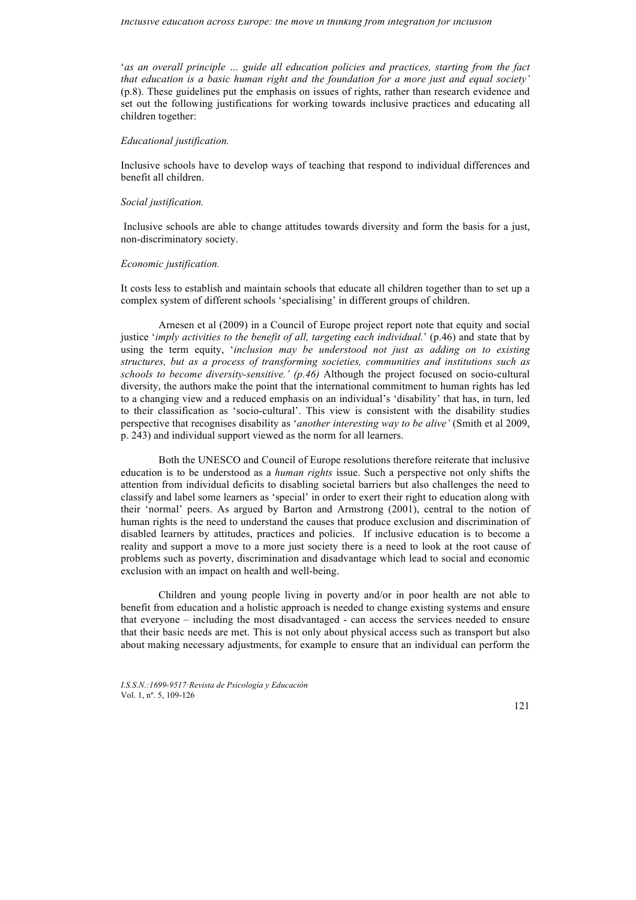'*as an overall principle … guide all education policies and practices, starting from the fact that education is a basic human right and the foundation for a more just and equal society'*  (p.8). These guidelines put the emphasis on issues of rights, rather than research evidence and set out the following justifications for working towards inclusive practices and educating all children together:

## *Educational justification.*

Inclusive schools have to develop ways of teaching that respond to individual differences and benefit all children.

## *Social justification.*

Inclusive schools are able to change attitudes towards diversity and form the basis for a just, non-discriminatory society.

## *Economic justification.*

It costs less to establish and maintain schools that educate all children together than to set up a complex system of different schools 'specialising' in different groups of children.

Arnesen et al (2009) in a Council of Europe project report note that equity and social justice '*imply activities to the benefit of all, targeting each individual.*' (p.46) and state that by using the term equity, '*inclusion may be understood not just as adding on to existing structures, but as a process of transforming societies, communities and institutions such as schools to become diversity-sensitive.' (p.46)* Although the project focused on socio-cultural diversity, the authors make the point that the international commitment to human rights has led to a changing view and a reduced emphasis on an individual's 'disability' that has, in turn, led to their classification as 'socio-cultural'. This view is consistent with the disability studies perspective that recognises disability as '*another interesting way to be alive'* (Smith et al 2009, p. 243) and individual support viewed as the norm for all learners.

Both the UNESCO and Council of Europe resolutions therefore reiterate that inclusive education is to be understood as a *human rights* issue. Such a perspective not only shifts the attention from individual deficits to disabling societal barriers but also challenges the need to classify and label some learners as 'special' in order to exert their right to education along with their 'normal' peers. As argued by Barton and Armstrong (2001), central to the notion of human rights is the need to understand the causes that produce exclusion and discrimination of disabled learners by attitudes, practices and policies. If inclusive education is to become a reality and support a move to a more just society there is a need to look at the root cause of problems such as poverty, discrimination and disadvantage which lead to social and economic exclusion with an impact on health and well-being.

Children and young people living in poverty and/or in poor health are not able to benefit from education and a holistic approach is needed to change existing systems and ensure that everyone – including the most disadvantaged - can access the services needed to ensure that their basic needs are met. This is not only about physical access such as transport but also about making necessary adjustments, for example to ensure that an individual can perform the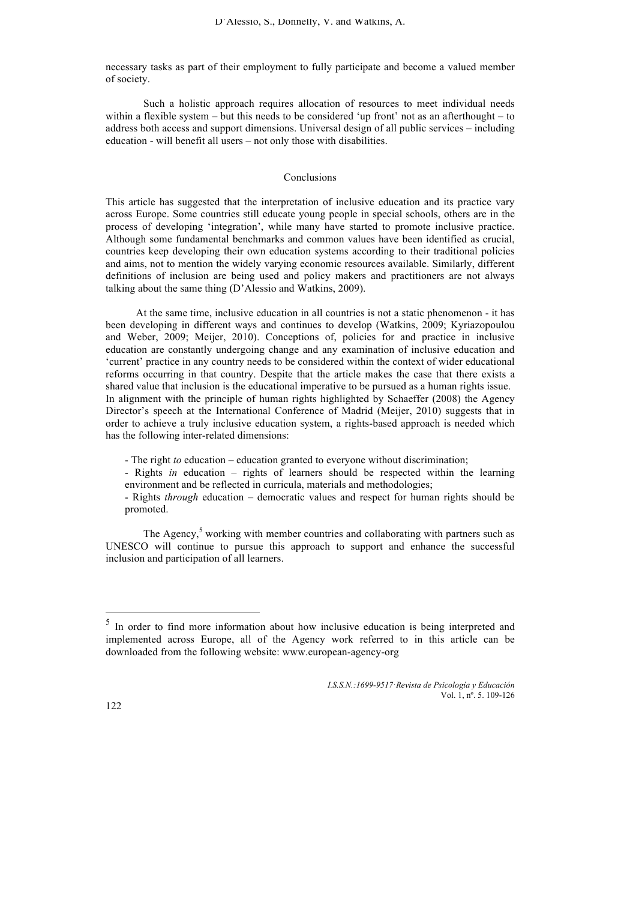necessary tasks as part of their employment to fully participate and become a valued member of society.

Such a holistic approach requires allocation of resources to meet individual needs within a flexible system – but this needs to be considered 'up front' not as an afterthought – to address both access and support dimensions. Universal design of all public services – including education - will benefit all users – not only those with disabilities.

# Conclusions

This article has suggested that the interpretation of inclusive education and its practice vary across Europe. Some countries still educate young people in special schools, others are in the process of developing 'integration', while many have started to promote inclusive practice. Although some fundamental benchmarks and common values have been identified as crucial, countries keep developing their own education systems according to their traditional policies and aims, not to mention the widely varying economic resources available. Similarly, different definitions of inclusion are being used and policy makers and practitioners are not always talking about the same thing (D'Alessio and Watkins, 2009).

At the same time, inclusive education in all countries is not a static phenomenon - it has been developing in different ways and continues to develop (Watkins, 2009; Kyriazopoulou and Weber, 2009; Meijer, 2010). Conceptions of, policies for and practice in inclusive education are constantly undergoing change and any examination of inclusive education and 'current' practice in any country needs to be considered within the context of wider educational reforms occurring in that country. Despite that the article makes the case that there exists a shared value that inclusion is the educational imperative to be pursued as a human rights issue. In alignment with the principle of human rights highlighted by Schaeffer (2008) the Agency Director's speech at the International Conference of Madrid (Meijer, 2010) suggests that in order to achieve a truly inclusive education system, a rights-based approach is needed which has the following inter-related dimensions:

- The right *to* education – education granted to everyone without discrimination;

- Rights *in* education – rights of learners should be respected within the learning environment and be reflected in curricula, materials and methodologies;

- Rights *through* education – democratic values and respect for human rights should be promoted.

The Agency, $5$  working with member countries and collaborating with partners such as UNESCO will continue to pursue this approach to support and enhance the successful inclusion and participation of all learners.

 <sup>5</sup> In order to find more information about how inclusive education is being interpreted and implemented across Europe, all of the Agency work referred to in this article can be downloaded from the following website: www.european-agency-org

*I.S.S.N.:1699-9517*·*Revista de Psicología y Educación* Vol. 1, nº. 5. 109-126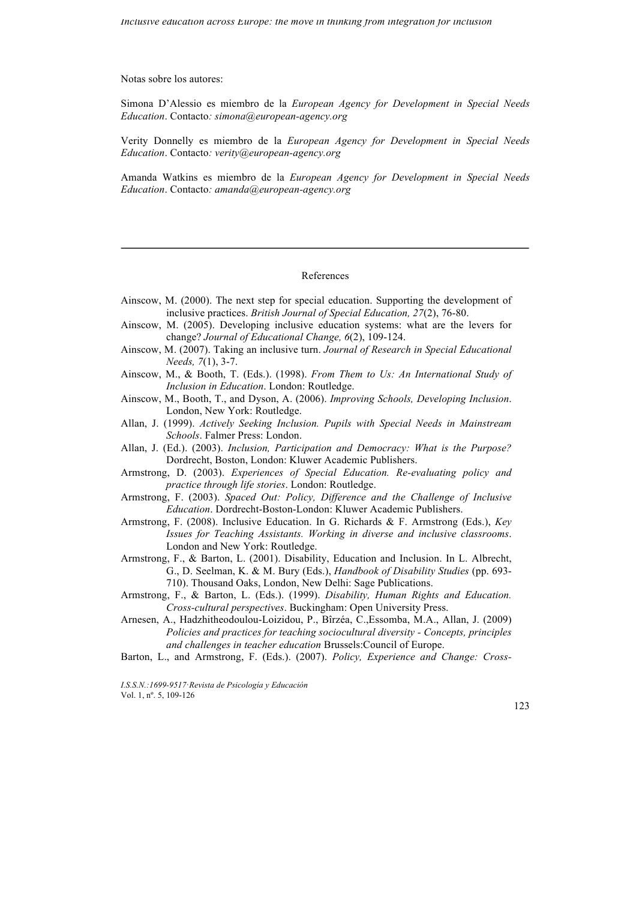Notas sobre los autores:

Simona D'Alessio es miembro de la *European Agency for Development in Special Needs Education*. Contacto*: simona@european-agency.org*

Verity Donnelly es miembro de la *European Agency for Development in Special Needs Education*. Contacto*: verity@european-agency.org*

Amanda Watkins es miembro de la *European Agency for Development in Special Needs Education*. Contacto*: amanda@european-agency.org*

# References

- Ainscow, M. (2000). The next step for special education. Supporting the development of inclusive practices. *British Journal of Special Education, 27*(2), 76-80.
- Ainscow, M. (2005). Developing inclusive education systems: what are the levers for change? *Journal of Educational Change, 6*(2), 109-124.
- Ainscow, M. (2007). Taking an inclusive turn. *Journal of Research in Special Educational Needs, 7*(1), 3-7.
- Ainscow, M., & Booth, T. (Eds.). (1998). *From Them to Us: An International Study of Inclusion in Education*. London: Routledge.
- Ainscow, M., Booth, T., and Dyson, A. (2006). *Improving Schools, Developing Inclusion*. London, New York: Routledge.
- Allan, J. (1999). *Actively Seeking Inclusion. Pupils with Special Needs in Mainstream Schools*. Falmer Press: London.
- Allan, J. (Ed.). (2003). *Inclusion, Participation and Democracy: What is the Purpose?* Dordrecht, Boston, London: Kluwer Academic Publishers.
- Armstrong, D. (2003). *Experiences of Special Education. Re-evaluating policy and practice through life stories*. London: Routledge.
- Armstrong, F. (2003). *Spaced Out: Policy, Difference and the Challenge of Inclusive Education*. Dordrecht-Boston-London: Kluwer Academic Publishers.
- Armstrong, F. (2008). Inclusive Education. In G. Richards & F. Armstrong (Eds.), *Key Issues for Teaching Assistants. Working in diverse and inclusive classrooms*. London and New York: Routledge.
- Armstrong, F., & Barton, L. (2001). Disability, Education and Inclusion. In L. Albrecht, G., D. Seelman, K. & M. Bury (Eds.), *Handbook of Disability Studies* (pp. 693- 710). Thousand Oaks, London, New Delhi: Sage Publications.
- Armstrong, F., & Barton, L. (Eds.). (1999). *Disability, Human Rights and Education. Cross-cultural perspectives*. Buckingham: Open University Press.
- Arnesen, A., Hadzhitheodoulou-Loizidou, P., Bîrzéa, C.,Essomba, M.A., Allan, J. (2009) *Policies and practices for teaching sociocultural diversity - Concepts, principles and challenges in teacher education* Brussels:Council of Europe.
- Barton, L., and Armstrong, F. (Eds.). (2007). *Policy, Experience and Change: Cross-*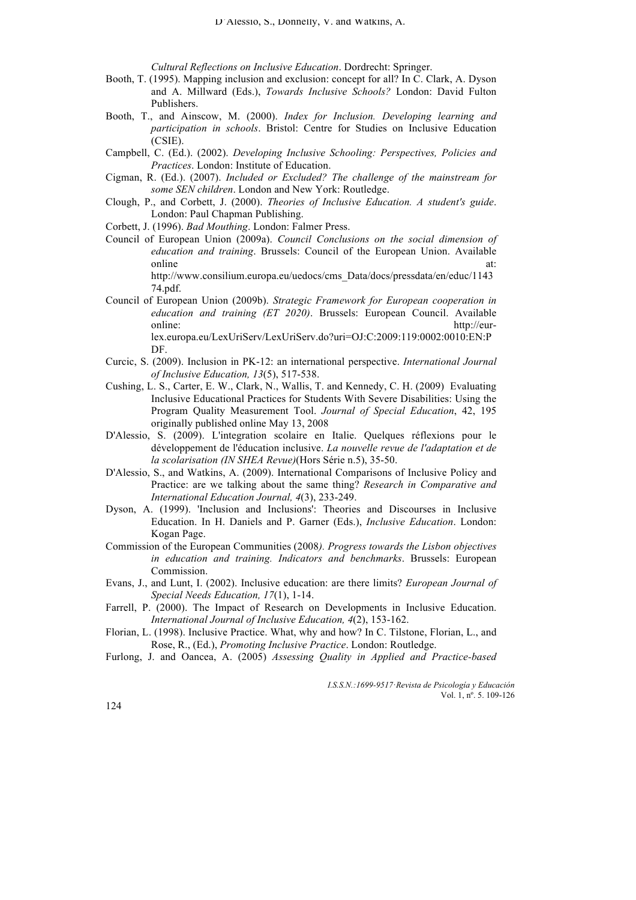*Cultural Reflections on Inclusive Education*. Dordrecht: Springer.

- Booth, T. (1995). Mapping inclusion and exclusion: concept for all? In C. Clark, A. Dyson and A. Millward (Eds.), *Towards Inclusive Schools?* London: David Fulton Publishers.
- Booth, T., and Ainscow, M. (2000). *Index for Inclusion. Developing learning and participation in schools*. Bristol: Centre for Studies on Inclusive Education (CSIE).
- Campbell, C. (Ed.). (2002). *Developing Inclusive Schooling: Perspectives, Policies and Practices*. London: Institute of Education.
- Cigman, R. (Ed.). (2007). *Included or Excluded? The challenge of the mainstream for some SEN children*. London and New York: Routledge.
- Clough, P., and Corbett, J. (2000). *Theories of Inclusive Education. A student's guide*. London: Paul Chapman Publishing.
- Corbett, J. (1996). *Bad Mouthing*. London: Falmer Press.
- Council of European Union (2009a). *Council Conclusions on the social dimension of education and training*. Brussels: Council of the European Union. Available online at:

http://www.consilium.europa.eu/uedocs/cms\_Data/docs/pressdata/en/educ/1143 74.pdf.

- Council of European Union (2009b). *Strategic Framework for European cooperation in education and training (ET 2020)*. Brussels: European Council. Available online: http://eurlex.europa.eu/LexUriServ/LexUriServ.do?uri=OJ:C:2009:119:0002:0010:EN:P DF.
- Curcic, S. (2009). Inclusion in PK-12: an international perspective. *International Journal of Inclusive Education, 13*(5), 517-538.
- Cushing, L. S., Carter, E. W., Clark, N., Wallis, T. and Kennedy, C. H. (2009) Evaluating Inclusive Educational Practices for Students With Severe Disabilities: Using the Program Quality Measurement Tool. *Journal of Special Education*, 42, 195 originally published online May 13, 2008
- D'Alessio, S. (2009). L'integration scolaire en Italie. Quelques réflexions pour le développement de l'éducation inclusive. *La nouvelle revue de l'adaptation et de la scolarisation (IN SHEA Revue)*(Hors Série n.5), 35-50.
- D'Alessio, S., and Watkins, A. (2009). International Comparisons of Inclusive Policy and Practice: are we talking about the same thing? *Research in Comparative and International Education Journal, 4*(3), 233-249.
- Dyson, A. (1999). 'Inclusion and Inclusions': Theories and Discourses in Inclusive Education. In H. Daniels and P. Garner (Eds.), *Inclusive Education*. London: Kogan Page.
- Commission of the European Communities (2008*). Progress towards the Lisbon objectives in education and training. Indicators and benchmarks*. Brussels: European Commission.
- Evans, J., and Lunt, I. (2002). Inclusive education: are there limits? *European Journal of Special Needs Education, 17*(1), 1-14.
- Farrell, P. (2000). The Impact of Research on Developments in Inclusive Education. *International Journal of Inclusive Education, 4*(2), 153-162.
- Florian, L. (1998). Inclusive Practice. What, why and how? In C. Tilstone, Florian, L., and Rose, R., (Ed.), *Promoting Inclusive Practice*. London: Routledge.
- Furlong, J. and Oancea, A. (2005) *Assessing Quality in Applied and Practice-based*

 *I.S.S.N.:1699-9517*·*Revista de Psicología y Educación* Vol. 1, nº. 5. 109-126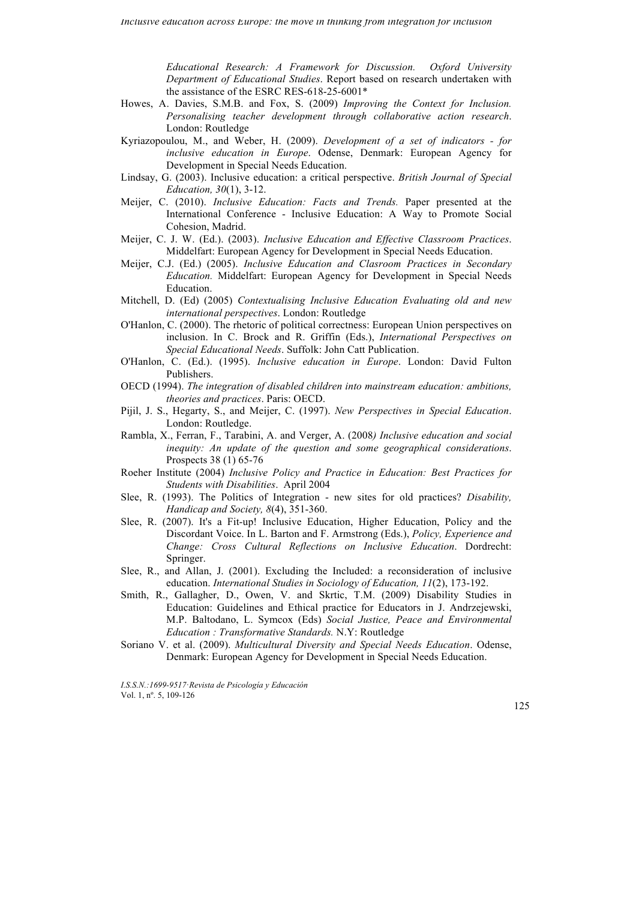*Educational Research: A Framework for Discussion. Oxford University Department of Educational Studies*. Report based on research undertaken with the assistance of the ESRC RES-618-25-6001\*

- Howes, A. Davies, S.M.B. and Fox, S. (2009) *Improving the Context for Inclusion. Personalising teacher development through collaborative action research*. London: Routledge
- Kyriazopoulou, M., and Weber, H. (2009). *Development of a set of indicators - for inclusive education in Europe*. Odense, Denmark: European Agency for Development in Special Needs Education.
- Lindsay, G. (2003). Inclusive education: a critical perspective. *British Journal of Special Education, 30*(1), 3-12.
- Meijer, C. (2010). *Inclusive Education: Facts and Trends.* Paper presented at the International Conference - Inclusive Education: A Way to Promote Social Cohesion, Madrid.
- Meijer, C. J. W. (Ed.). (2003). *Inclusive Education and Effective Classroom Practices*. Middelfart: European Agency for Development in Special Needs Education.
- Meijer, C.J. (Ed.) (2005). *Inclusive Education and Clasroom Practices in Secondary Education.* Middelfart: European Agency for Development in Special Needs Education.
- Mitchell, D. (Ed) (2005) *Contextualising Inclusive Education Evaluating old and new international perspectives*. London: Routledge
- O'Hanlon, C. (2000). The rhetoric of political correctness: European Union perspectives on inclusion. In C. Brock and R. Griffin (Eds.), *International Perspectives on Special Educational Needs*. Suffolk: John Catt Publication.
- O'Hanlon, C. (Ed.). (1995). *Inclusive education in Europe*. London: David Fulton Publishers.
- OECD (1994). *The integration of disabled children into mainstream education: ambitions, theories and practices*. Paris: OECD.
- Pijil, J. S., Hegarty, S., and Meijer, C. (1997). *New Perspectives in Special Education*. London: Routledge.
- Rambla, X., Ferran, F., Tarabini, A. and Verger, A. (2008*) Inclusive education and social inequity: An update of the question and some geographical considerations*. Prospects 38 (1) 65-76
- Roeher Institute (2004) *Inclusive Policy and Practice in Education: Best Practices for Students with Disabilities*. April 2004
- Slee, R. (1993). The Politics of Integration new sites for old practices? *Disability, Handicap and Society, 8*(4), 351-360.
- Slee, R. (2007). It's a Fit-up! Inclusive Education, Higher Education, Policy and the Discordant Voice. In L. Barton and F. Armstrong (Eds.), *Policy, Experience and Change: Cross Cultural Reflections on Inclusive Education*. Dordrecht: Springer.
- Slee, R., and Allan, J. (2001). Excluding the Included: a reconsideration of inclusive education. *International Studies in Sociology of Education, 11*(2), 173-192.
- Smith, R., Gallagher, D., Owen, V. and Skrtic, T.M. (2009) Disability Studies in Education: Guidelines and Ethical practice for Educators in J. Andrzejewski, M.P. Baltodano, L. Symcox (Eds) *Social Justice, Peace and Environmental Education : Transformative Standards.* N.Y: Routledge
- Soriano V. et al. (2009). *Multicultural Diversity and Special Needs Education*. Odense, Denmark: European Agency for Development in Special Needs Education.